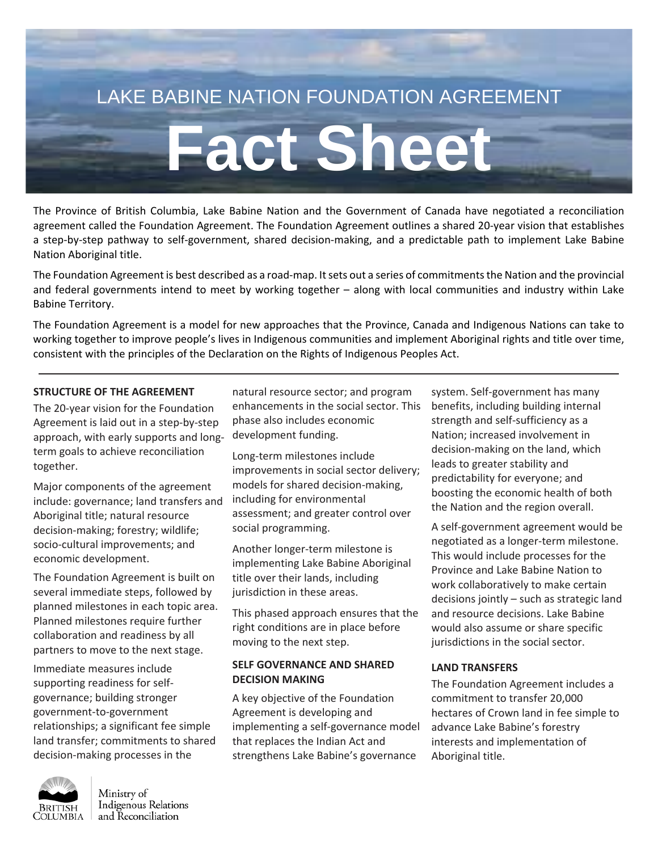# LAKE BABINE NATION FOUNDATION AGREEMENT

# **Fact Sheet**

The Province of British Columbia, Lake Babine Nation and the Government of Canada have negotiated a reconciliation agreement called the Foundation Agreement. The Foundation Agreement outlines a shared 20-year vision that establishes a step-by-step pathway to self-government, shared decision-making, and a predictable path to implement Lake Babine Nation Aboriginal title.

The Foundation Agreement is best described as a road-map. It sets out a series of commitments the Nation and the provincial and federal governments intend to meet by working together – along with local communities and industry within Lake Babine Territory.

The Foundation Agreement is a model for new approaches that the Province, Canada and Indigenous Nations can take to working together to improve people's lives in Indigenous communities and implement Aboriginal rights and title over time, consistent with the principles of the Declaration on the Rights of Indigenous Peoples Act.

#### **STRUCTURE OF THE AGREEMENT**

The 20-year vision for the Foundation Agreement is laid out in a step-by-step approach, with early supports and longterm goals to achieve reconciliation together.

Major components of the agreement include: governance; land transfers and Aboriginal title; natural resource decision-making; forestry; wildlife; socio-cultural improvements; and economic development.

The Foundation Agreement is built on several immediate steps, followed by planned milestones in each topic area. Planned milestones require further collaboration and readiness by all partners to move to the next stage.

Immediate measures include supporting readiness for selfgovernance; building stronger government-to-government relationships; a significant fee simple land transfer; commitments to shared decision-making processes in the

natural resource sector; and program enhancements in the social sector. This phase also includes economic development funding.

Long-term milestones include improvements in social sector delivery; models for shared decision-making, including for environmental assessment; and greater control over social programming.

Another longer-term milestone is implementing Lake Babine Aboriginal title over their lands, including jurisdiction in these areas.

This phased approach ensures that the right conditions are in place before moving to the next step.

#### **SELF GOVERNANCE AND SHARED DECISION MAKING**

A key objective of the Foundation Agreement is developing and implementing a self-governance model that replaces the Indian Act and strengthens Lake Babine's governance

system. Self-government has many benefits, including building internal strength and self-sufficiency as a Nation; increased involvement in decision-making on the land, which leads to greater stability and predictability for everyone; and boosting the economic health of both the Nation and the region overall.

A self-government agreement would be negotiated as a longer-term milestone. This would include processes for the Province and Lake Babine Nation to work collaboratively to make certain decisions jointly – such as strategic land and resource decisions. Lake Babine would also assume or share specific jurisdictions in the social sector.

#### **LAND TRANSFERS**

The Foundation Agreement includes a commitment to transfer 20,000 hectares of Crown land in fee simple to advance Lake Babine's forestry interests and implementation of Aboriginal title.



Ministry of Indigenous Relations and Reconciliation